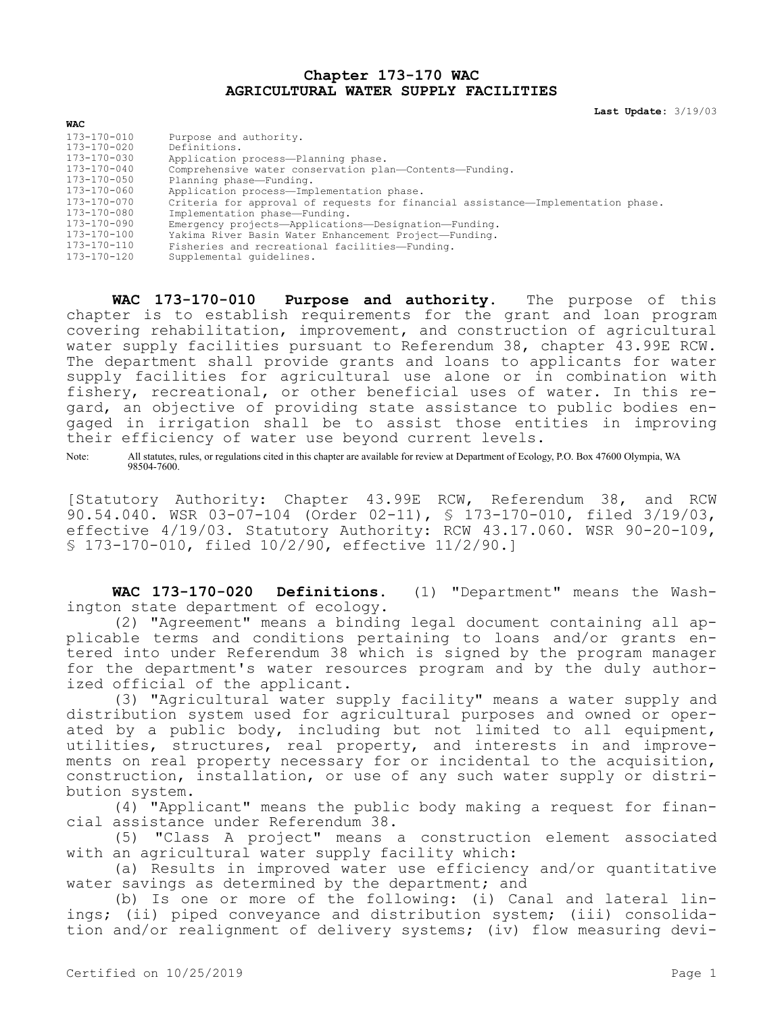## **Chapter 173-170 WAC AGRICULTURAL WATER SUPPLY FACILITIES**

**Last Update:** 3/19/03

| <b>WAC</b>        |                                                                                  |
|-------------------|----------------------------------------------------------------------------------|
| 173-170-010       | Purpose and authority.                                                           |
| 173-170-020       | Definitions.                                                                     |
| 173-170-030       | Application process-Planning phase.                                              |
| $173 - 170 - 040$ | Comprehensive water conservation plan-Contents-Funding.                          |
| $173 - 170 - 050$ | Planning phase-Funding.                                                          |
| 173-170-060       | Application process-Implementation phase.                                        |
| 173-170-070       | Criteria for approval of requests for financial assistance-Implementation phase. |
| 173-170-080       | Implementation phase-Funding.                                                    |
| 173-170-090       | Emergency projects-Applications-Designation-Funding.                             |
| 173-170-100       | Yakima River Basin Water Enhancement Project-Funding.                            |
| $173 - 170 - 110$ | Fisheries and recreational facilities-Funding.                                   |
| $173 - 170 - 120$ | Supplemental quidelines.                                                         |

**WAC 173-170-010 Purpose and authority.** The purpose of this chapter is to establish requirements for the grant and loan program covering rehabilitation, improvement, and construction of agricultural water supply facilities pursuant to Referendum 38, chapter 43.99E RCW. The department shall provide grants and loans to applicants for water supply facilities for agricultural use alone or in combination with fishery, recreational, or other beneficial uses of water. In this regard, an objective of providing state assistance to public bodies engaged in irrigation shall be to assist those entities in improving their efficiency of water use beyond current levels.

Note: All statutes, rules, or regulations cited in this chapter are available for review at Department of Ecology, P.O. Box 47600 Olympia, WA 98504-7600.

[Statutory Authority: Chapter 43.99E RCW, Referendum 38, and RCW 90.54.040. WSR 03-07-104 (Order 02-11), § 173-170-010, filed 3/19/03, effective 4/19/03. Statutory Authority: RCW 43.17.060. WSR 90-20-109, § 173-170-010, filed 10/2/90, effective 11/2/90.]

**WAC 173-170-020 Definitions.** (1) "Department" means the Washington state department of ecology.

(2) "Agreement" means a binding legal document containing all applicable terms and conditions pertaining to loans and/or grants entered into under Referendum 38 which is signed by the program manager for the department's water resources program and by the duly authorized official of the applicant.

(3) "Agricultural water supply facility" means a water supply and distribution system used for agricultural purposes and owned or operated by a public body, including but not limited to all equipment, utilities, structures, real property, and interests in and improvements on real property necessary for or incidental to the acquisition, construction, installation, or use of any such water supply or distribution system.

(4) "Applicant" means the public body making a request for financial assistance under Referendum 38.

(5) "Class A project" means a construction element associated with an agricultural water supply facility which:

(a) Results in improved water use efficiency and/or quantitative water savings as determined by the department; and

(b) Is one or more of the following: (i) Canal and lateral linings; (ii) piped conveyance and distribution system; (iii) consolidation and/or realignment of delivery systems; (iv) flow measuring devi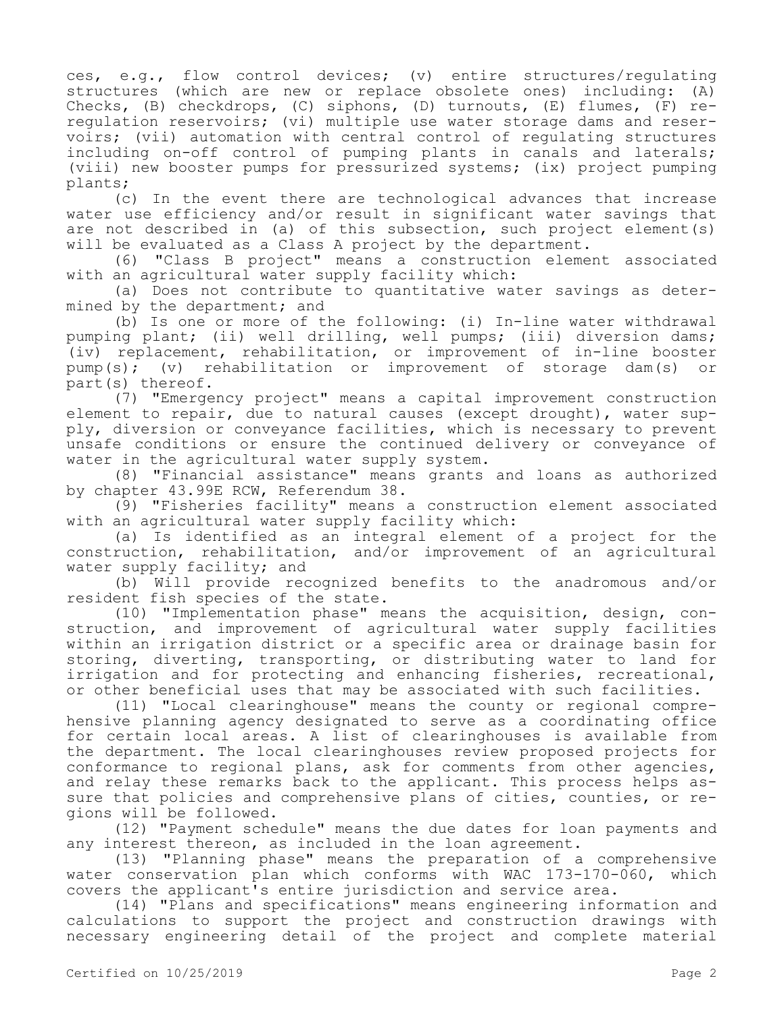ces, e.g., flow control devices; (v) entire structures/regulating structures (which are new or replace obsolete ones) including: (A) Checks, (B) checkdrops, (C) siphons, (D) turnouts, (E) flumes, (F) reregulation reservoirs; (vi) multiple use water storage dams and reservoirs; (vii) automation with central control of regulating structures including on-off control of pumping plants in canals and laterals; (viii) new booster pumps for pressurized systems; (ix) project pumping plants;

(c) In the event there are technological advances that increase water use efficiency and/or result in significant water savings that are not described in (a) of this subsection, such project element(s) will be evaluated as a Class A project by the department.

(6) "Class B project" means a construction element associated with an agricultural water supply facility which:

(a) Does not contribute to quantitative water savings as determined by the department; and

(b) Is one or more of the following: (i) In-line water withdrawal pumping plant; (ii) well drilling, well pumps; (iii) diversion dams; (iv) replacement, rehabilitation, or improvement of in-line booster pump(s); (v) rehabilitation or improvement of storage dam(s) part(s) thereof.

(7) "Emergency project" means a capital improvement construction element to repair, due to natural causes (except drought), water supply, diversion or conveyance facilities, which is necessary to prevent unsafe conditions or ensure the continued delivery or conveyance of water in the agricultural water supply system.

(8) "Financial assistance" means grants and loans as authorized by chapter 43.99E RCW, Referendum 38.

(9) "Fisheries facility" means a construction element associated with an agricultural water supply facility which:

(a) Is identified as an integral element of a project for the construction, rehabilitation, and/or improvement of an agricultural water supply facility; and

(b) Will provide recognized benefits to the anadromous and/or resident fish species of the state.

(10) "Implementation phase" means the acquisition, design, construction, and improvement of agricultural water supply facilities within an irrigation district or a specific area or drainage basin for storing, diverting, transporting, or distributing water to land for irrigation and for protecting and enhancing fisheries, recreational, or other beneficial uses that may be associated with such facilities.

(11) "Local clearinghouse" means the county or regional comprehensive planning agency designated to serve as a coordinating office for certain local areas. A list of clearinghouses is available from the department. The local clearinghouses review proposed projects for conformance to regional plans, ask for comments from other agencies, and relay these remarks back to the applicant. This process helps assure that policies and comprehensive plans of cities, counties, or regions will be followed.

(12) "Payment schedule" means the due dates for loan payments and any interest thereon, as included in the loan agreement.

(13) "Planning phase" means the preparation of a comprehensive water conservation plan which conforms with WAC 173-170-060, which covers the applicant's entire jurisdiction and service area.

(14) "Plans and specifications" means engineering information and calculations to support the project and construction drawings with necessary engineering detail of the project and complete material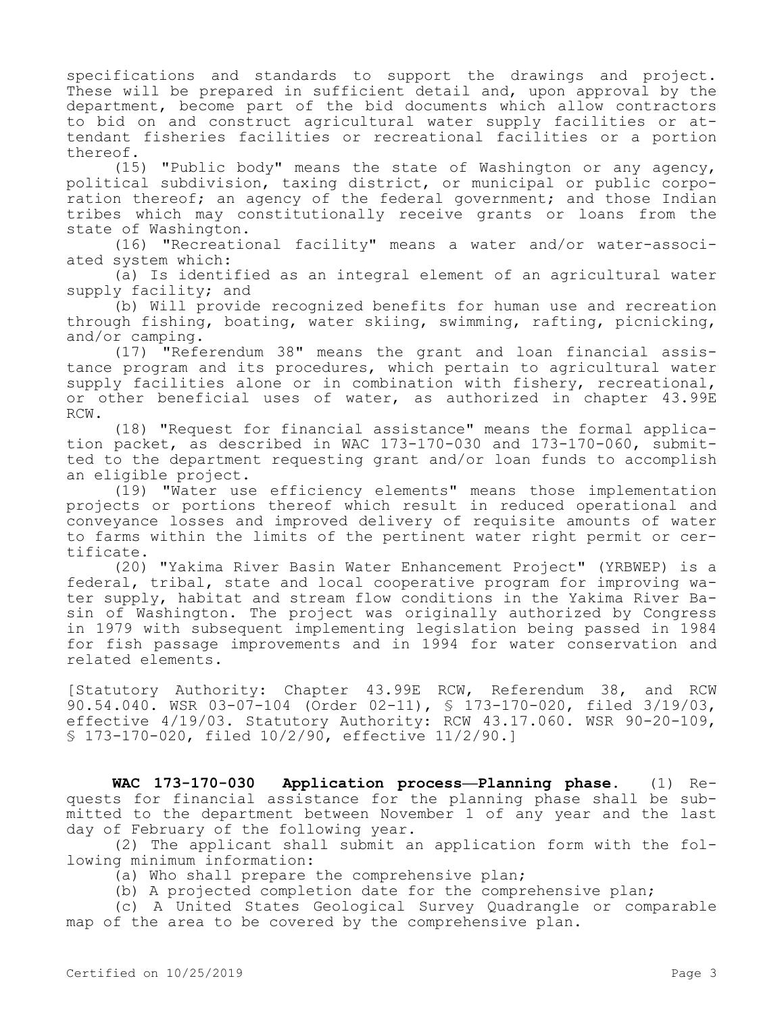specifications and standards to support the drawings and project. These will be prepared in sufficient detail and, upon approval by the department, become part of the bid documents which allow contractors to bid on and construct agricultural water supply facilities or attendant fisheries facilities or recreational facilities or a portion thereof.

(15) "Public body" means the state of Washington or any agency, political subdivision, taxing district, or municipal or public corporation thereof; an agency of the federal government; and those Indian tribes which may constitutionally receive grants or loans from the state of Washington.

(16) "Recreational facility" means a water and/or water-associated system which:

(a) Is identified as an integral element of an agricultural water supply facility; and

(b) Will provide recognized benefits for human use and recreation through fishing, boating, water skiing, swimming, rafting, picnicking, and/or camping.

(17) "Referendum 38" means the grant and loan financial assistance program and its procedures, which pertain to agricultural water supply facilities alone or in combination with fishery, recreational, or other beneficial uses of water, as authorized in chapter 43.99E RCW.

(18) "Request for financial assistance" means the formal application packet, as described in WAC 173-170-030 and 173-170-060, submitted to the department requesting grant and/or loan funds to accomplish an eligible project.

(19) "Water use efficiency elements" means those implementation projects or portions thereof which result in reduced operational and conveyance losses and improved delivery of requisite amounts of water to farms within the limits of the pertinent water right permit or certificate.

(20) "Yakima River Basin Water Enhancement Project" (YRBWEP) is a federal, tribal, state and local cooperative program for improving water supply, habitat and stream flow conditions in the Yakima River Basin of Washington. The project was originally authorized by Congress in 1979 with subsequent implementing legislation being passed in 1984 for fish passage improvements and in 1994 for water conservation and related elements.

[Statutory Authority: Chapter 43.99E RCW, Referendum 38, and RCW 90.54.040. WSR 03-07-104 (Order 02-11), § 173-170-020, filed 3/19/03, effective 4/19/03. Statutory Authority: RCW 43.17.060. WSR 90-20-109, § 173-170-020, filed 10/2/90, effective 11/2/90.]

**WAC 173-170-030 Application process—Planning phase.** (1) Requests for financial assistance for the planning phase shall be submitted to the department between November 1 of any year and the last day of February of the following year.

(2) The applicant shall submit an application form with the following minimum information:

(a) Who shall prepare the comprehensive plan;

(b) A projected completion date for the comprehensive plan;

(c) A United States Geological Survey Quadrangle or comparable map of the area to be covered by the comprehensive plan.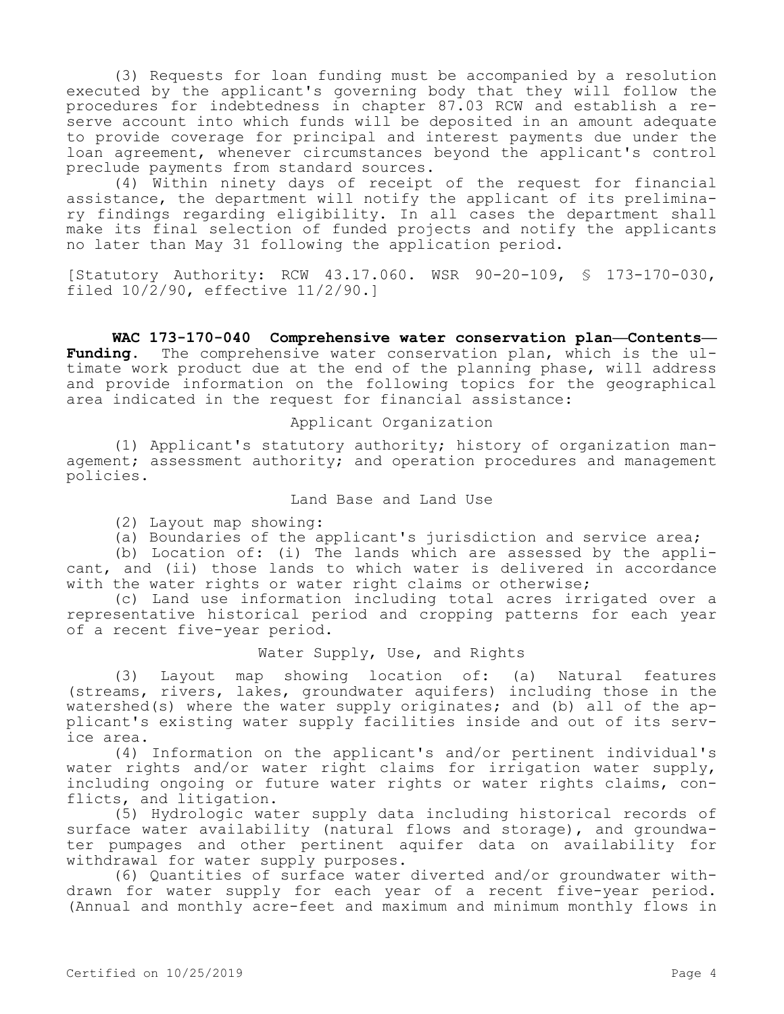(3) Requests for loan funding must be accompanied by a resolution executed by the applicant's governing body that they will follow the procedures for indebtedness in chapter 87.03 RCW and establish a reserve account into which funds will be deposited in an amount adequate to provide coverage for principal and interest payments due under the loan agreement, whenever circumstances beyond the applicant's control preclude payments from standard sources.

(4) Within ninety days of receipt of the request for financial assistance, the department will notify the applicant of its preliminary findings regarding eligibility. In all cases the department shall make its final selection of funded projects and notify the applicants no later than May 31 following the application period.

[Statutory Authority: RCW 43.17.060. WSR 90-20-109, § 173-170-030, filed  $10/\overline{2}/90$ , effective  $11/2/90.1$ 

**WAC 173-170-040 Comprehensive water conservation plan—Contents— Funding.** The comprehensive water conservation plan, which is the ultimate work product due at the end of the planning phase, will address and provide information on the following topics for the geographical area indicated in the request for financial assistance:

### Applicant Organization

(1) Applicant's statutory authority; history of organization management; assessment authority; and operation procedures and management policies.

Land Base and Land Use

(2) Layout map showing:

(a) Boundaries of the applicant's jurisdiction and service area;

(b) Location of: (i) The lands which are assessed by the applicant, and (ii) those lands to which water is delivered in accordance with the water rights or water right claims or otherwise;

(c) Land use information including total acres irrigated over a representative historical period and cropping patterns for each year of a recent five-year period.

### Water Supply, Use, and Rights

(3) Layout map showing location of: (a) Natural features (streams, rivers, lakes, groundwater aquifers) including those in the watershed(s) where the water supply originates; and (b) all of the applicant's existing water supply facilities inside and out of its service area.

(4) Information on the applicant's and/or pertinent individual's water rights and/or water right claims for irrigation water supply, including ongoing or future water rights or water rights claims, conflicts, and litigation.

(5) Hydrologic water supply data including historical records of surface water availability (natural flows and storage), and groundwater pumpages and other pertinent aquifer data on availability for withdrawal for water supply purposes.

(6) Quantities of surface water diverted and/or groundwater withdrawn for water supply for each year of a recent five-year period. (Annual and monthly acre-feet and maximum and minimum monthly flows in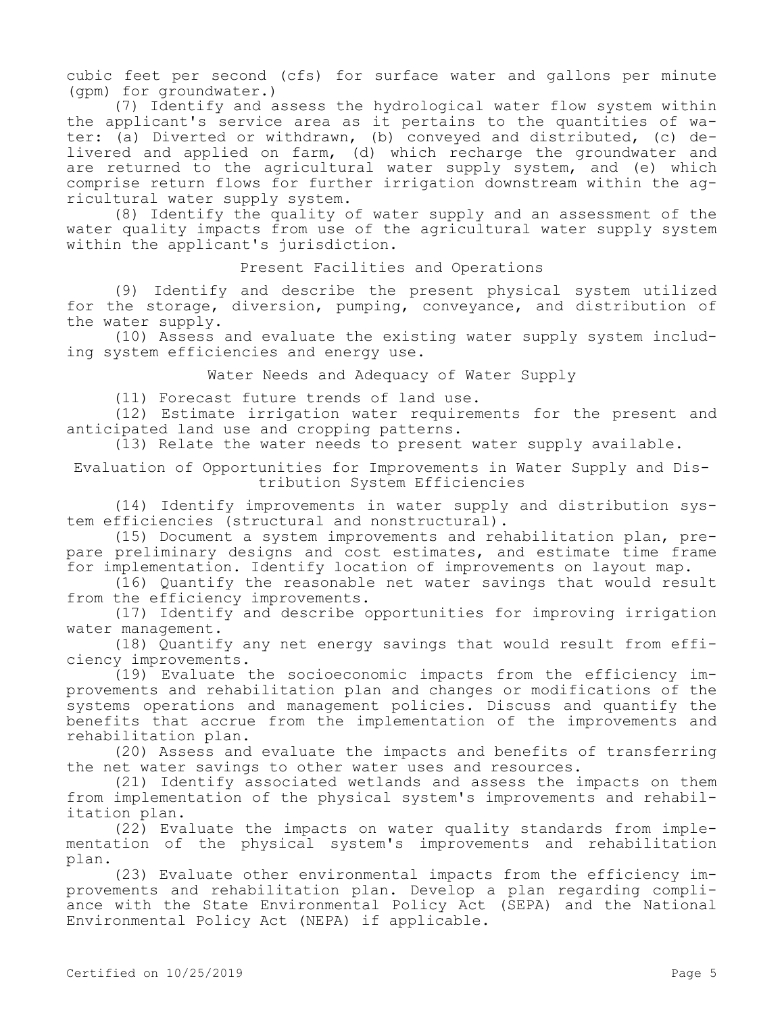cubic feet per second (cfs) for surface water and gallons per minute (gpm) for groundwater.)

(7) Identify and assess the hydrological water flow system within the applicant's service area as it pertains to the quantities of water: (a) Diverted or withdrawn, (b) conveyed and distributed, (c) delivered and applied on farm, (d) which recharge the groundwater and are returned to the agricultural water supply system, and (e) which comprise return flows for further irrigation downstream within the agricultural water supply system.

(8) Identify the quality of water supply and an assessment of the water quality impacts from use of the agricultural water supply system within the applicant's jurisdiction.

# Present Facilities and Operations

(9) Identify and describe the present physical system utilized for the storage, diversion, pumping, conveyance, and distribution of the water supply.

(10) Assess and evaluate the existing water supply system including system efficiencies and energy use.

Water Needs and Adequacy of Water Supply

(11) Forecast future trends of land use.

(12) Estimate irrigation water requirements for the present and anticipated land use and cropping patterns.

(13) Relate the water needs to present water supply available.

Evaluation of Opportunities for Improvements in Water Supply and Distribution System Efficiencies

(14) Identify improvements in water supply and distribution system efficiencies (structural and nonstructural).

(15) Document a system improvements and rehabilitation plan, prepare preliminary designs and cost estimates, and estimate time frame for implementation. Identify location of improvements on layout map.

(16) Quantify the reasonable net water savings that would result from the efficiency improvements.

(17) Identify and describe opportunities for improving irrigation water management.

(18) Quantify any net energy savings that would result from efficiency improvements.

(19) Evaluate the socioeconomic impacts from the efficiency improvements and rehabilitation plan and changes or modifications of the systems operations and management policies. Discuss and quantify the benefits that accrue from the implementation of the improvements and rehabilitation plan.

(20) Assess and evaluate the impacts and benefits of transferring the net water savings to other water uses and resources.

(21) Identify associated wetlands and assess the impacts on them from implementation of the physical system's improvements and rehabilitation plan.

(22) Evaluate the impacts on water quality standards from implementation of the physical system's improvements and rehabilitation plan.

(23) Evaluate other environmental impacts from the efficiency improvements and rehabilitation plan. Develop a plan regarding compliance with the State Environmental Policy Act (SEPA) and the National Environmental Policy Act (NEPA) if applicable.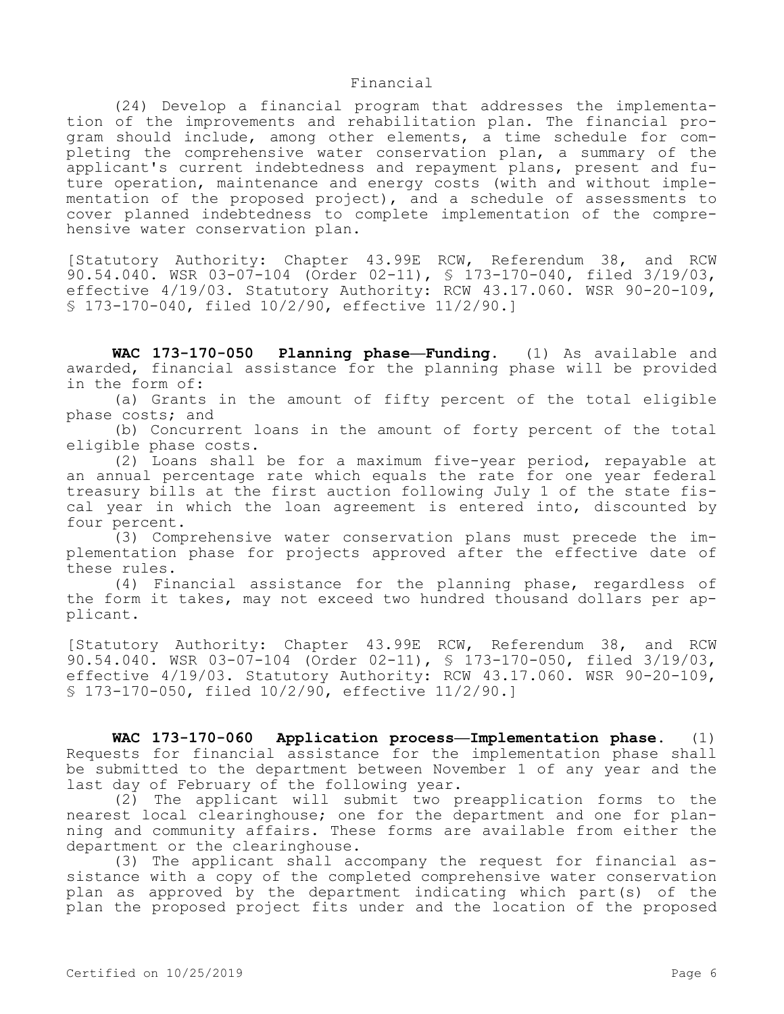#### Financial

(24) Develop a financial program that addresses the implementation of the improvements and rehabilitation plan. The financial program should include, among other elements, a time schedule for completing the comprehensive water conservation plan, a summary of the applicant's current indebtedness and repayment plans, present and future operation, maintenance and energy costs (with and without implementation of the proposed project), and a schedule of assessments to cover planned indebtedness to complete implementation of the comprehensive water conservation plan.

[Statutory Authority: Chapter 43.99E RCW, Referendum 38, and RCW 90.54.040. WSR 03-07-104 (Order 02-11), § 173-170-040, filed 3/19/03, effective 4/19/03. Statutory Authority: RCW 43.17.060. WSR 90-20-109, § 173-170-040, filed 10/2/90, effective 11/2/90.]

**WAC 173-170-050 Planning phase—Funding.** (1) As available and awarded, financial assistance for the planning phase will be provided in the form of:

(a) Grants in the amount of fifty percent of the total eligible phase costs; and

(b) Concurrent loans in the amount of forty percent of the total eligible phase costs.

(2) Loans shall be for a maximum five-year period, repayable at an annual percentage rate which equals the rate for one year federal treasury bills at the first auction following July 1 of the state fiscal year in which the loan agreement is entered into, discounted by four percent.

(3) Comprehensive water conservation plans must precede the implementation phase for projects approved after the effective date of these rules.

(4) Financial assistance for the planning phase, regardless of the form it takes, may not exceed two hundred thousand dollars per applicant.

[Statutory Authority: Chapter 43.99E RCW, Referendum 38, and RCW 90.54.040. WSR 03-07-104 (Order 02-11), § 173-170-050, filed 3/19/03, effective 4/19/03. Statutory Authority: RCW 43.17.060. WSR 90-20-109, § 173-170-050, filed 10/2/90, effective 11/2/90.]

**WAC 173-170-060 Application process—Implementation phase.** (1) Requests for financial assistance for the implementation phase shall be submitted to the department between November 1 of any year and the last day of February of the following year.

(2) The applicant will submit two preapplication forms to the nearest local clearinghouse; one for the department and one for planning and community affairs. These forms are available from either the department or the clearinghouse.

(3) The applicant shall accompany the request for financial assistance with a copy of the completed comprehensive water conservation plan as approved by the department indicating which part(s) of the plan the proposed project fits under and the location of the proposed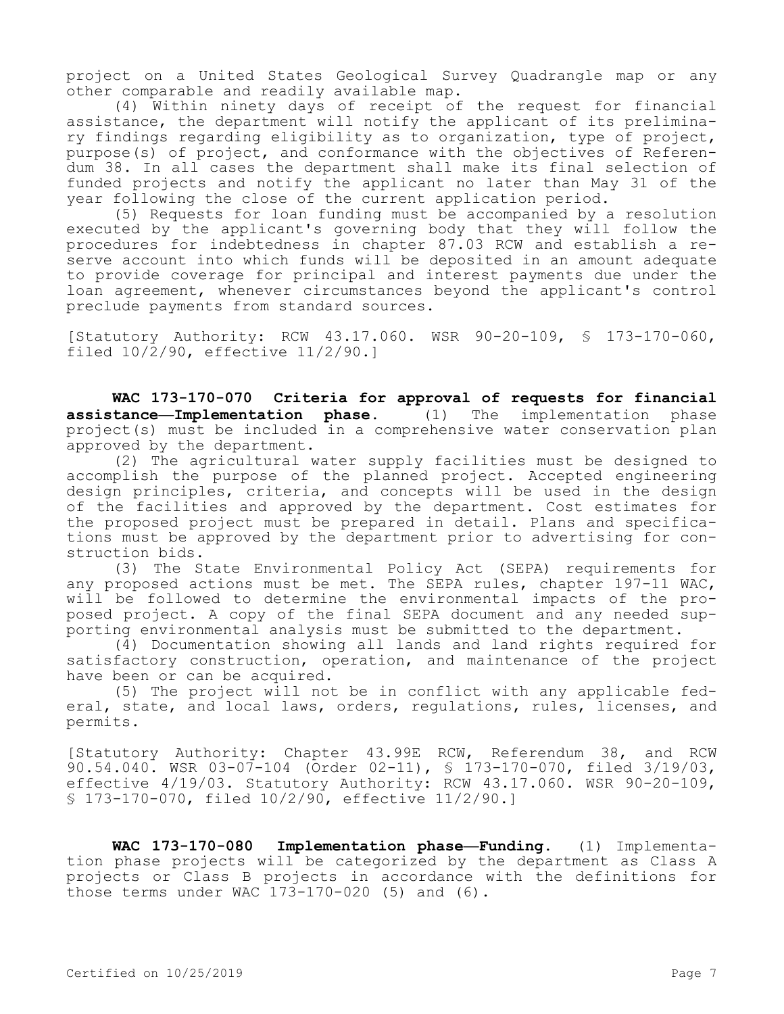project on a United States Geological Survey Quadrangle map or any other comparable and readily available map.

(4) Within ninety days of receipt of the request for financial assistance, the department will notify the applicant of its preliminary findings regarding eligibility as to organization, type of project, purpose(s) of project, and conformance with the objectives of Referendum 38. In all cases the department shall make its final selection of funded projects and notify the applicant no later than May 31 of the year following the close of the current application period.

(5) Requests for loan funding must be accompanied by a resolution executed by the applicant's governing body that they will follow the procedures for indebtedness in chapter 87.03 RCW and establish a reserve account into which funds will be deposited in an amount adequate to provide coverage for principal and interest payments due under the loan agreement, whenever circumstances beyond the applicant's control preclude payments from standard sources.

[Statutory Authority: RCW 43.17.060. WSR 90-20-109, § 173-170-060, filed 10/2/90, effective 11/2/90.]

**WAC 173-170-070 Criteria for approval of requests for financial assistance—Implementation phase.** (1) The implementation phase project(s) must be included in a comprehensive water conservation plan approved by the department.

(2) The agricultural water supply facilities must be designed to accomplish the purpose of the planned project. Accepted engineering design principles, criteria, and concepts will be used in the design of the facilities and approved by the department. Cost estimates for the proposed project must be prepared in detail. Plans and specifications must be approved by the department prior to advertising for construction bids.

(3) The State Environmental Policy Act (SEPA) requirements for any proposed actions must be met. The SEPA rules, chapter 197-11 WAC, will be followed to determine the environmental impacts of the proposed project. A copy of the final SEPA document and any needed supporting environmental analysis must be submitted to the department.

(4) Documentation showing all lands and land rights required for satisfactory construction, operation, and maintenance of the project have been or can be acquired.

(5) The project will not be in conflict with any applicable federal, state, and local laws, orders, regulations, rules, licenses, and permits.

[Statutory Authority: Chapter 43.99E RCW, Referendum 38, and RCW 90.54.040. WSR 03-07-104 (Order 02-11), § 173-170-070, filed 3/19/03, effective 4/19/03. Statutory Authority: RCW 43.17.060. WSR 90-20-109, § 173-170-070, filed 10/2/90, effective 11/2/90.]

**WAC 173-170-080 Implementation phase—Funding.** (1) Implementation phase projects will be categorized by the department as Class A projects or Class B projects in accordance with the definitions for those terms under WAC 173-170-020 (5) and (6).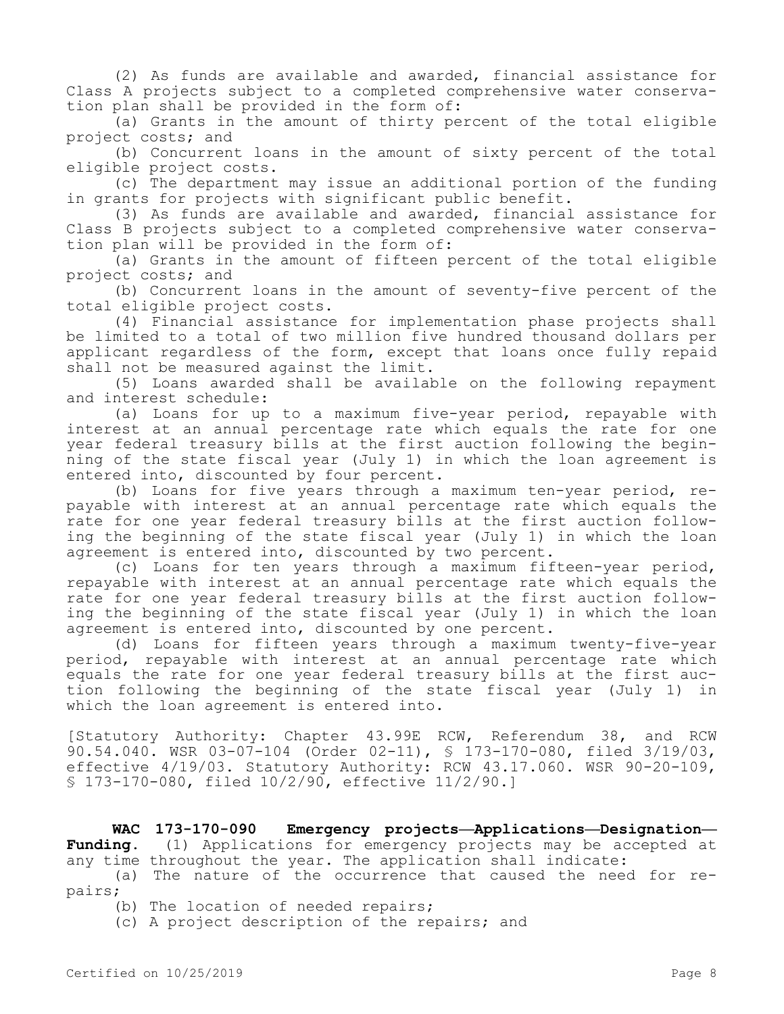(2) As funds are available and awarded, financial assistance for Class A projects subject to a completed comprehensive water conservation plan shall be provided in the form of:

(a) Grants in the amount of thirty percent of the total eligible project costs; and

(b) Concurrent loans in the amount of sixty percent of the total eligible project costs.

(c) The department may issue an additional portion of the funding in grants for projects with significant public benefit.

(3) As funds are available and awarded, financial assistance for Class B projects subject to a completed comprehensive water conservation plan will be provided in the form of:

(a) Grants in the amount of fifteen percent of the total eligible project costs; and

(b) Concurrent loans in the amount of seventy-five percent of the total eligible project costs.

(4) Financial assistance for implementation phase projects shall be limited to a total of two million five hundred thousand dollars per applicant regardless of the form, except that loans once fully repaid shall not be measured against the limit.

(5) Loans awarded shall be available on the following repayment and interest schedule:

(a) Loans for up to a maximum five-year period, repayable with interest at an annual percentage rate which equals the rate for one year federal treasury bills at the first auction following the beginning of the state fiscal year (July 1) in which the loan agreement is entered into, discounted by four percent.

(b) Loans for five years through a maximum ten-year period, repayable with interest at an annual percentage rate which equals the rate for one year federal treasury bills at the first auction following the beginning of the state fiscal year (July 1) in which the loan agreement is entered into, discounted by two percent.

(c) Loans for ten years through a maximum fifteen-year period, repayable with interest at an annual percentage rate which equals the rate for one year federal treasury bills at the first auction following the beginning of the state fiscal year (July 1) in which the loan agreement is entered into, discounted by one percent.

(d) Loans for fifteen years through a maximum twenty-five-year period, repayable with interest at an annual percentage rate which equals the rate for one year federal treasury bills at the first auction following the beginning of the state fiscal year (July 1) in which the loan agreement is entered into.

[Statutory Authority: Chapter 43.99E RCW, Referendum 38, and RCW 90.54.040. WSR 03-07-104 (Order 02-11), § 173-170-080, filed 3/19/03, effective 4/19/03. Statutory Authority: RCW 43.17.060. WSR 90-20-109, § 173-170-080, filed 10/2/90, effective 11/2/90.]

**WAC 173-170-090 Emergency projects—Applications—Designation— Funding.** (1) Applications for emergency projects may be accepted at any time throughout the year. The application shall indicate:

(a) The nature of the occurrence that caused the need for repairs;

(b) The location of needed repairs;

(c) A project description of the repairs; and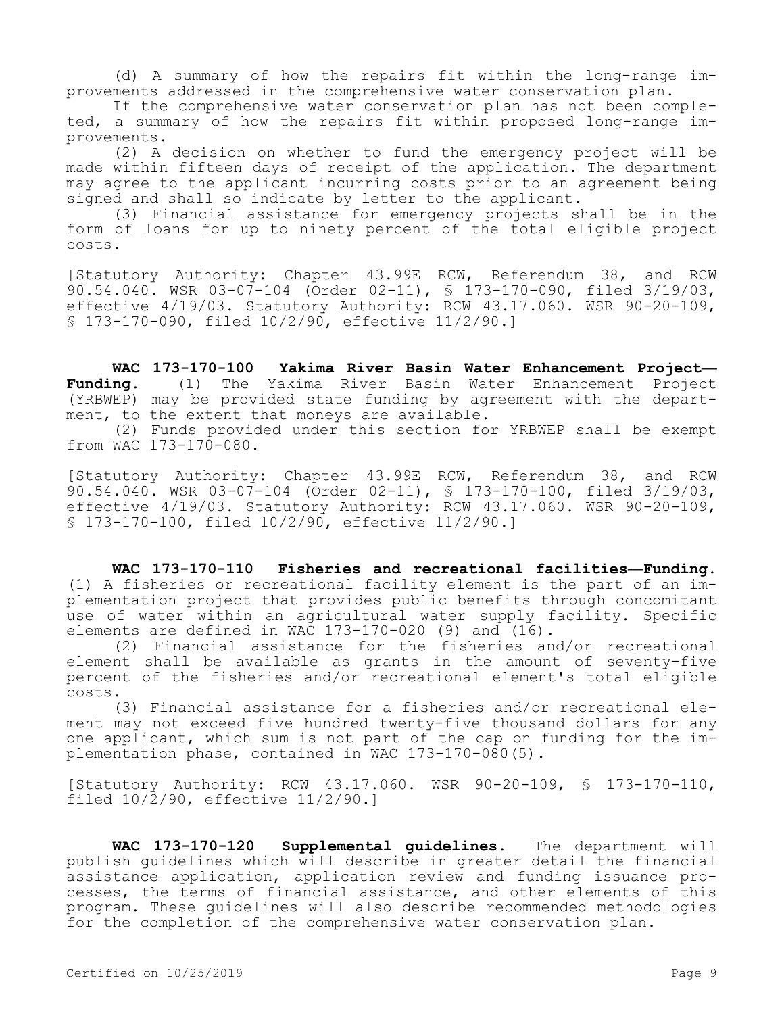(d) A summary of how the repairs fit within the long-range improvements addressed in the comprehensive water conservation plan.

If the comprehensive water conservation plan has not been completed, a summary of how the repairs fit within proposed long-range improvements.

(2) A decision on whether to fund the emergency project will be made within fifteen days of receipt of the application. The department may agree to the applicant incurring costs prior to an agreement being signed and shall so indicate by letter to the applicant.

(3) Financial assistance for emergency projects shall be in the form of loans for up to ninety percent of the total eligible project costs.

[Statutory Authority: Chapter 43.99E RCW, Referendum 38, and RCW 90.54.040. WSR 03-07-104 (Order 02-11), § 173-170-090, filed 3/19/03, effective 4/19/03. Statutory Authority: RCW 43.17.060. WSR 90-20-109, § 173-170-090, filed 10/2/90, effective 11/2/90.]

**WAC 173-170-100 Yakima River Basin Water Enhancement Project— Funding.** (1) The Yakima River Basin Water Enhancement Project (YRBWEP) may be provided state funding by agreement with the department, to the extent that moneys are available.

(2) Funds provided under this section for YRBWEP shall be exempt from WAC 173-170-080.

[Statutory Authority: Chapter 43.99E RCW, Referendum 38, and RCW 90.54.040. WSR 03-07-104 (Order 02-11), § 173-170-100, filed 3/19/03, effective 4/19/03. Statutory Authority: RCW 43.17.060. WSR 90-20-109, § 173-170-100, filed 10/2/90, effective 11/2/90.]

**WAC 173-170-110 Fisheries and recreational facilities—Funding.**  (1) A fisheries or recreational facility element is the part of an implementation project that provides public benefits through concomitant use of water within an agricultural water supply facility. Specific elements are defined in WAC 173-170-020 (9) and (16).

(2) Financial assistance for the fisheries and/or recreational element shall be available as grants in the amount of seventy-five percent of the fisheries and/or recreational element's total eligible costs.

(3) Financial assistance for a fisheries and/or recreational element may not exceed five hundred twenty-five thousand dollars for any one applicant, which sum is not part of the cap on funding for the implementation phase, contained in WAC 173-170-080(5).

[Statutory Authority: RCW 43.17.060. WSR 90-20-109, § 173-170-110, filed 10/2/90, effective 11/2/90.]

**WAC 173-170-120 Supplemental guidelines.** The department will publish guidelines which will describe in greater detail the financial assistance application, application review and funding issuance processes, the terms of financial assistance, and other elements of this program. These guidelines will also describe recommended methodologies for the completion of the comprehensive water conservation plan.